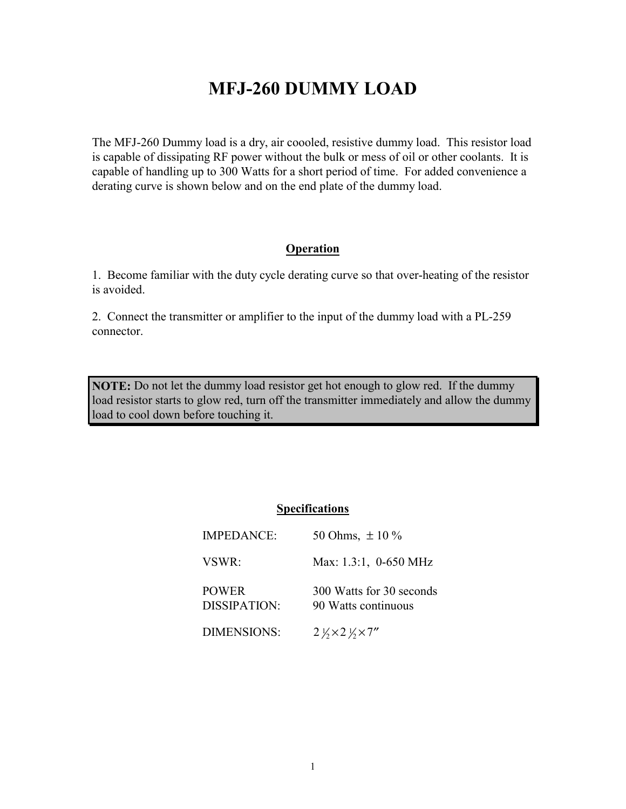## **MFJ-260 DUMMY LOAD**

The MFJ-260 Dummy load is a dry, air coooled, resistive dummy load. This resistor load is capable of dissipating RF power without the bulk or mess of oil or other coolants. It is capable of handling up to 300 Watts for a short period of time. For added convenience a derating curve is shown below and on the end plate of the dummy load.

#### **Operation**

1. Become familiar with the duty cycle derating curve so that over-heating of the resistor is avoided.

2. Connect the transmitter or amplifier to the input of the dummy load with a PL-259 connector.

**NOTE:** Do not let the dummy load resistor get hot enough to glow red. If the dummy load resistor starts to glow red, turn off the transmitter immediately and allow the dummy load to cool down before touching it.

#### **Specifications**

| <b>IMPEDANCE:</b>                   | 50 Ohms, $\pm 10\%$                             |
|-------------------------------------|-------------------------------------------------|
| VSWR:                               | Max: 1.3:1, 0-650 MHz                           |
| <b>POWER</b><br><b>DISSIPATION:</b> | 300 Watts for 30 seconds<br>90 Watts continuous |
| <b>DIMENSIONS:</b>                  | $2\frac{1}{2} \times 2\frac{1}{2} \times 7''$   |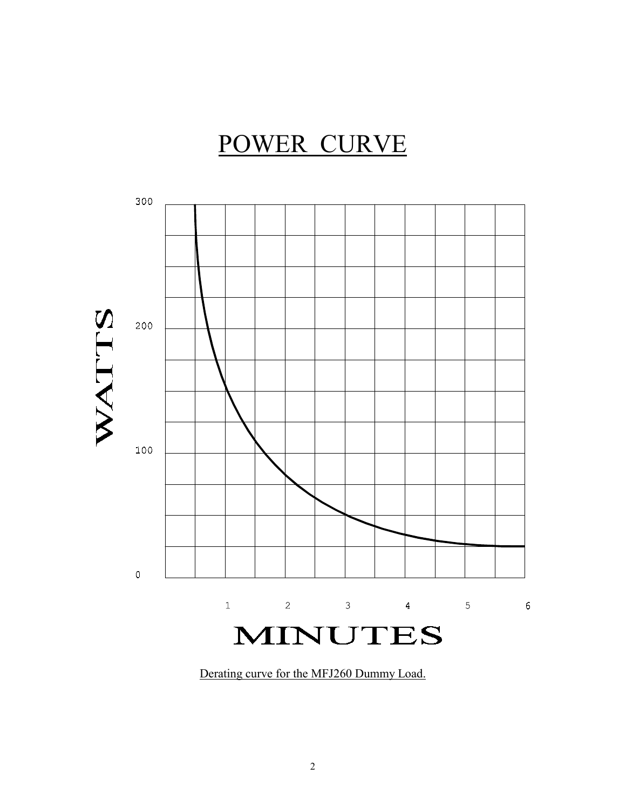# POWER CURVE



Derating curve for the MFJ260 Dummy Load.